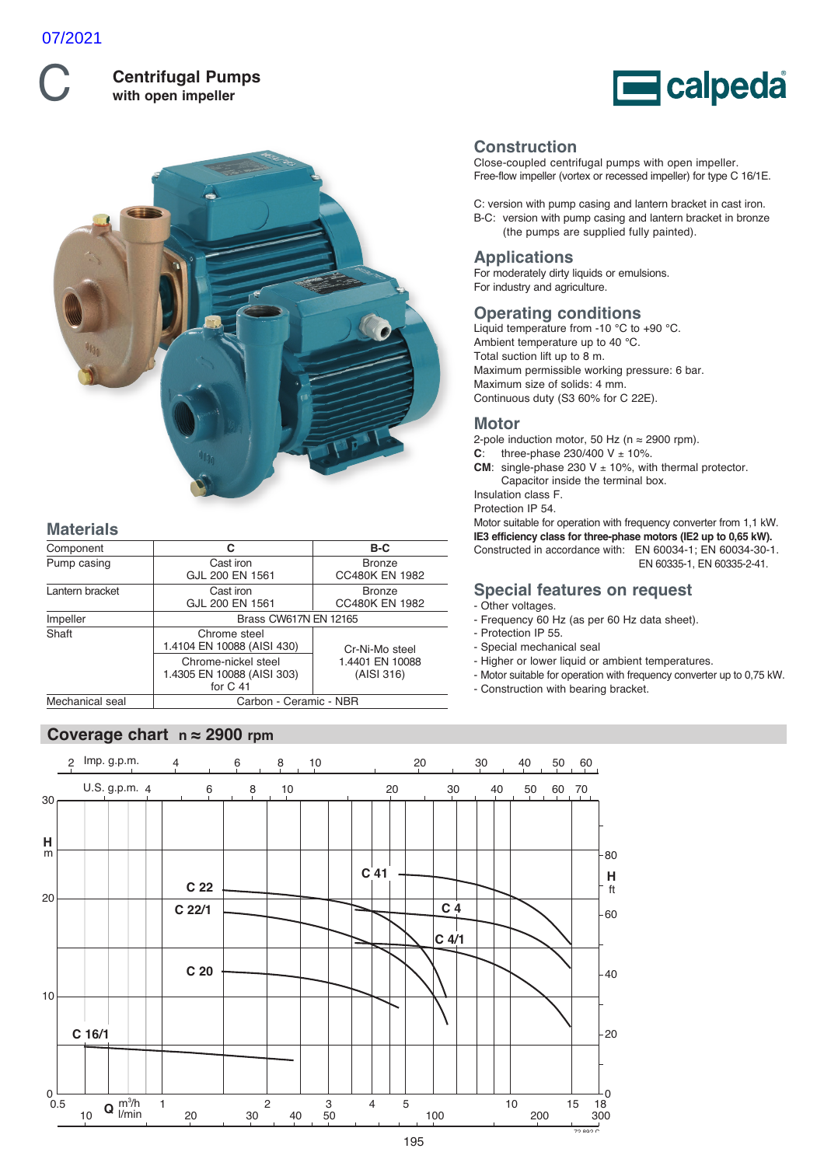

**Centrifugal Pumps with open impeller**





# **Materials**

| Component                                 | С                                                               | B-C                                    |  |  |  |  |  |
|-------------------------------------------|-----------------------------------------------------------------|----------------------------------------|--|--|--|--|--|
| Pump casing                               | Cast iron<br>GJL 200 EN 1561                                    | <b>Bronze</b><br><b>CC480K EN 1982</b> |  |  |  |  |  |
| Lantern bracket                           | Cast iron<br>GJL 200 EN 1561                                    | <b>Bronze</b><br><b>CC480K EN 1982</b> |  |  |  |  |  |
| Impeller                                  | Brass CW617N EN 12165                                           |                                        |  |  |  |  |  |
| Shaft                                     | Chrome steel<br>1.4104 EN 10088 (AISI 430)                      | Cr-Ni-Mo steel                         |  |  |  |  |  |
|                                           | Chrome-nickel steel<br>1.4305 EN 10088 (AISI 303)<br>for $C$ 41 | 1.4401 EN 10088<br>(AISI 316)          |  |  |  |  |  |
| Mechanical seal<br>Carbon - Ceramic - NBR |                                                                 |                                        |  |  |  |  |  |

# **Coverage chart n ≈ 2900 rpm**

**Construction**

Close-coupled centrifugal pumps with open impeller. Free-flow impeller (vortex or recessed impeller) for type C 16/1E.

C: version with pump casing and lantern bracket in cast iron. B-C: version with pump casing and lantern bracket in bronze (the pumps are supplied fully painted).

# **Applications**

For moderately dirty liquids or emulsions. For industry and agriculture.

## **Operating conditions**

Liquid temperature from -10 °C to +90 °C. Ambient temperature up to 40 °C. Total suction lift up to 8 m. Maximum permissible working pressure: 6 bar. Maximum size of solids: 4 mm. Continuous duty (S3 60% for C 22E).

# **Motor**

2-pole induction motor, 50 Hz ( $n \approx 2900$  rpm).

**C**: three-phase  $230/400 \text{ V} \pm 10\%$ .

**CM**: single-phase 230 V  $\pm$  10%, with thermal protector. Capacitor inside the terminal box.

Insulation class F. Protection IP 54.

Motor suitable for operation with frequency converter from 1,1 kW. **IE3 efficiency class for three-phase motors (IE2 up to 0,65 kW).** Constructed in accordance with: EN 60034-1; EN 60034-30-1. EN 60335-1, EN 60335-2-41.

#### **Special features on request** - Other voltages.

- Frequency 60 Hz (as per 60 Hz data sheet).
- Protection IP 55.
- Special mechanical seal
- Higher or lower liquid or ambient temperatures.
- Motor suitable for operation with frequency converter up to 0,75 kW.
- Construction with bearing bracket.

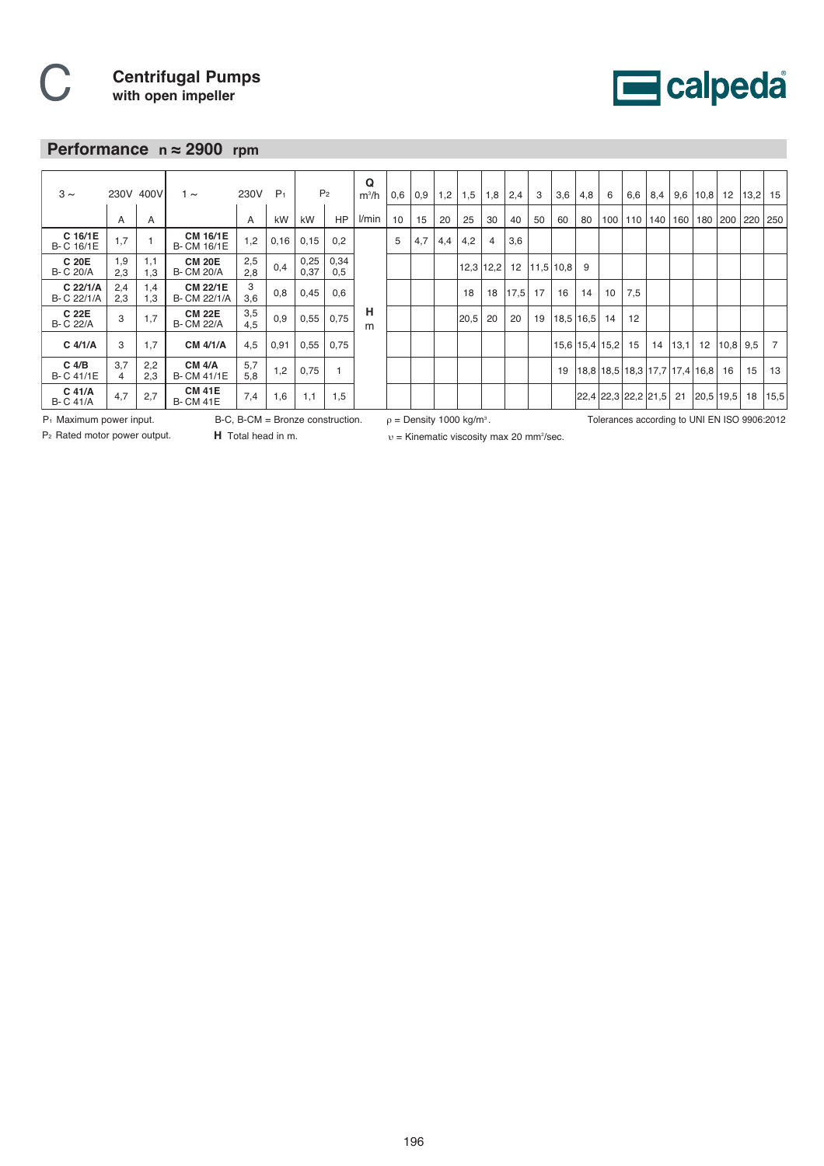

# **Performance n ≈ 2900 rpm**

| $3 \sim$                    |            | 230V 400V<br>$1 \sim$ |                                      | 230V       | P <sub>1</sub> | P <sub>2</sub> |             | Q<br>$m^3/h$ | 0,6             | 0,9 | 1,2 | 1,5  | 1,8         | 2,4  | 3  | 3,6       | 4,8 | 6                    | 6,6 | 8,4                                       |      | $9,6$   10,8 | 12         | 13,2 | 15             |
|-----------------------------|------------|-----------------------|--------------------------------------|------------|----------------|----------------|-------------|--------------|-----------------|-----|-----|------|-------------|------|----|-----------|-----|----------------------|-----|-------------------------------------------|------|--------------|------------|------|----------------|
|                             | A          | A                     |                                      | A          | kW             | kW             | HP          | l/min        | 10 <sup>1</sup> | 15  | 20  | 25   | 30          | 40   | 50 | 60        | 80  | 100                  |     | 110 140                                   | 160  |              | 180   200  | 220  | 250            |
| C 16/1E<br>B-C 16/1E        | 1,7        |                       | <b>CM 16/1E</b><br><b>B-CM 16/1E</b> | 1,2        | 0,16           | 0,15           | 0,2         |              | 5               | 4,7 | 4,4 | 4,2  | 4           | 3,6  |    |           |     |                      |     |                                           |      |              |            |      |                |
| C 20E<br><b>B-C 20/A</b>    | 1,9<br>2,3 | 1,1<br>1,3            | <b>CM 20E</b><br><b>B-CM 20/A</b>    | 2,5<br>2.8 | 0,4            | 0,25<br>0,37   | 0,34<br>0,5 |              |                 |     |     |      | $12,3$ 12,2 | 12   |    | 11,5 10,8 | 9   |                      |     |                                           |      |              |            |      |                |
| C 22/1/A<br>B- C 22/1/A     | 2,4<br>2,3 | 1,4<br>1,3            | <b>CM 22/1E</b><br>B- CM 22/1/A      | 3<br>3,6   | 0,8            | 0,45           | 0,6         |              |                 |     |     | 18   | 18          | 17,5 | 17 | 16        | 14  | 10 <sup>°</sup>      | 7,5 |                                           |      |              |            |      |                |
| C 22E<br><b>B-C 22/A</b>    | 3          | 1,7                   | <b>CM 22E</b><br><b>B- CM 22/A</b>   | 3,5<br>4,5 | 0,9            | 0,55           | 0,75        | н<br>m       |                 |     |     | 20,5 | 20          | 20   | 19 | 18,5 16,5 |     | 14                   | 12  |                                           |      |              |            |      |                |
| $C$ 4/1/A                   | 3          | 1,7                   | <b>CM 4/1/A</b>                      | 4,5        | 0,91           | 0,55           | 0,75        |              |                 |     |     |      |             |      |    |           |     | $15,6$   15,4   15,2 | 15  | 14                                        | 13,1 | 12           | $10,8$ 9.5 |      | $\overline{7}$ |
| $C$ 4/B<br>B-C 41/1E        | 3,7<br>4   | 2,2<br>2.3            | <b>CM 4/A</b><br><b>B-CM 41/1E</b>   | 5,7<br>5,8 | 1,2            | 0,75           |             |              |                 |     |     |      |             |      |    | 19        |     |                      |     | $18,8$   18,5   18,3   17,7   17,4   16,8 |      |              | 16         | 15   | 13             |
| $C$ 41/A<br><b>B-C 41/A</b> | 4,7        | 2,7                   | <b>CM 41E</b><br><b>B-CM 41E</b>     | 7,4        | 1,6            | 1,1            | 1,5         |              |                 |     |     |      |             |      |    |           |     |                      |     | 22,4 22,3 22,2 21,5                       | 21   | 20,5 19,5    |            | 18   | 15,5           |

P1 Maximum power input.

P2 Rated motor power output.

**H** Total head in m. B-C, B-CM = Bronze construction.

 $p =$  Density 1000 kg/m<sup>3</sup>. Tolerances according to UNI EN ISO 9906:2012

υ = Kinematic viscosity max 20 mm2 /sec.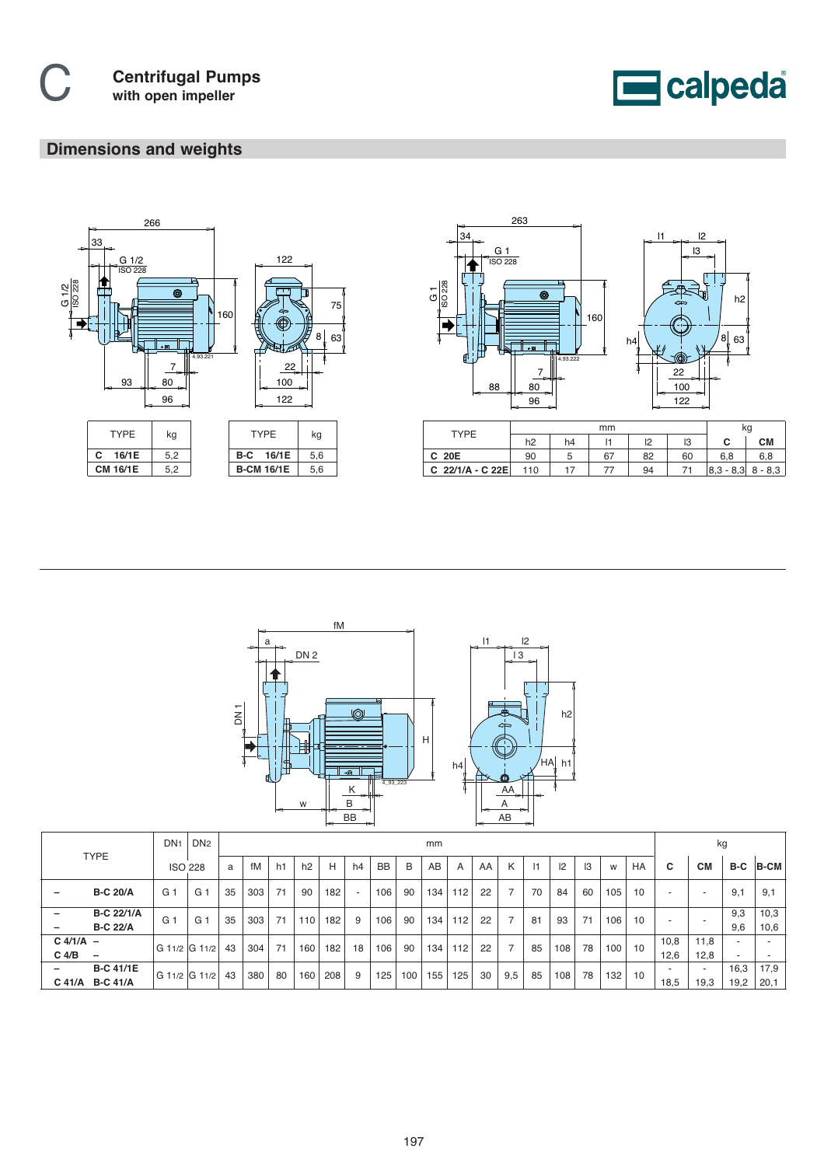

# **Dimensions and weights**





| <b>TYPF</b>        |     |    | κg |    |    |                       |     |
|--------------------|-----|----|----|----|----|-----------------------|-----|
|                    | h2  | h4 |    | ١O | IЗ | ັ                     | CМ  |
| C 20E              | 90  | C  | 67 | 82 | 60 | 6.8                   | 6.8 |
| C $22/1/A - C 22E$ | 110 |    |    | 94 |    | $ 8,3 - 8,3  8 - 8,3$ |     |



|                               |                                      | DN <sub>1</sub> | DN <sub>2</sub> |    |     |    |     |     |    |           |     | mm  |     |    |                |           |     |    |     |           | kg                       |              |                                                      |              |
|-------------------------------|--------------------------------------|-----------------|-----------------|----|-----|----|-----|-----|----|-----------|-----|-----|-----|----|----------------|-----------|-----|----|-----|-----------|--------------------------|--------------|------------------------------------------------------|--------------|
| <b>TYPE</b>                   |                                      |                 | <b>ISO 228</b>  | a  | fM  | h1 | h2  | Н   | h4 | <b>BB</b> | B   | AB  | A   | AA | K              | $\vert$ 1 | 2   | I3 | W   | <b>HA</b> | C                        | <b>CM</b>    | B-C                                                  | <b>B-CM</b>  |
| $\overline{\phantom{m}}$      | <b>B-C 20/A</b>                      | G.              | G <sup>1</sup>  | 35 | 303 | 71 | 90  | 182 |    | 106       | 90  | 134 | 112 | 22 | 7              | 70        | 84  | 60 | 105 | 10        | $\overline{\phantom{a}}$ |              | 9,1                                                  | 9,1          |
| -<br>$\overline{\phantom{m}}$ | <b>B-C 22/1/A</b><br><b>B-C 22/A</b> | G.              | G.              | 35 | 303 | 71 | 110 | 182 | 9  | 106       | 90  | 134 | 112 | 22 | $\overline{7}$ | 81        | 93  | 71 | 106 | 10        | $\overline{\phantom{a}}$ |              | 9,3<br>9,6                                           | 10,3<br>10,6 |
| $C$ 4/1/A $-$<br>$C$ 4/B      | $\overline{\phantom{0}}$             | G 11/2 G 11/2   |                 | 43 | 304 | 71 | 160 | 182 | 18 | 106       | 90  | 134 | 112 | 22 | $\overline{7}$ | 85        | 108 | 78 | 100 | 10        | 10,8<br>12.6             | 11.8<br>12.8 | $\overline{\phantom{a}}$<br>$\overline{\phantom{a}}$ |              |
| —<br>C 41/A                   | <b>B-C 41/1E</b><br><b>B-C 41/A</b>  | G 11/2 G 11/2   |                 | 43 | 380 | 80 | 160 | 208 | 9  | 125       | 100 | 155 | 125 | 30 | 9,5            | 85        | 108 | 78 | 132 | 10        | 18,5                     | 19,3         | 16,3<br>19,2                                         | 17,9<br>20,1 |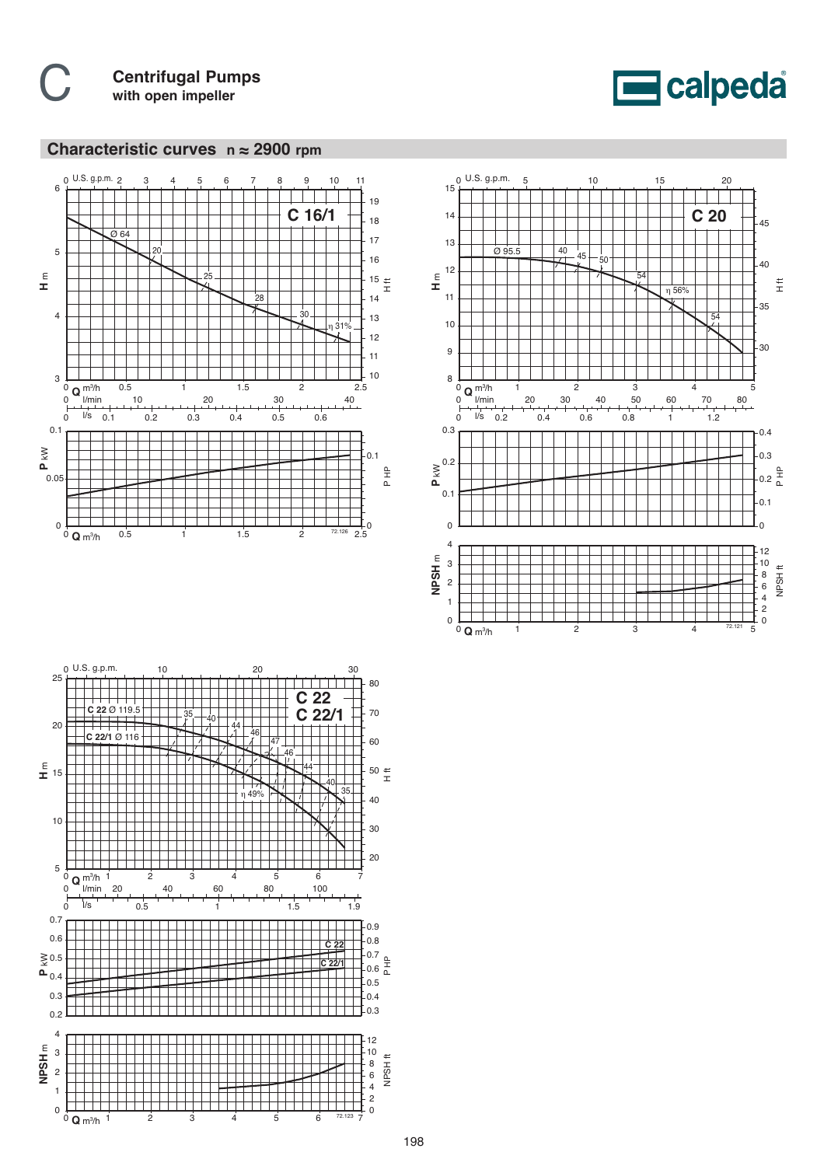



# **Characteristic curves n ≈ 2900 rpm**





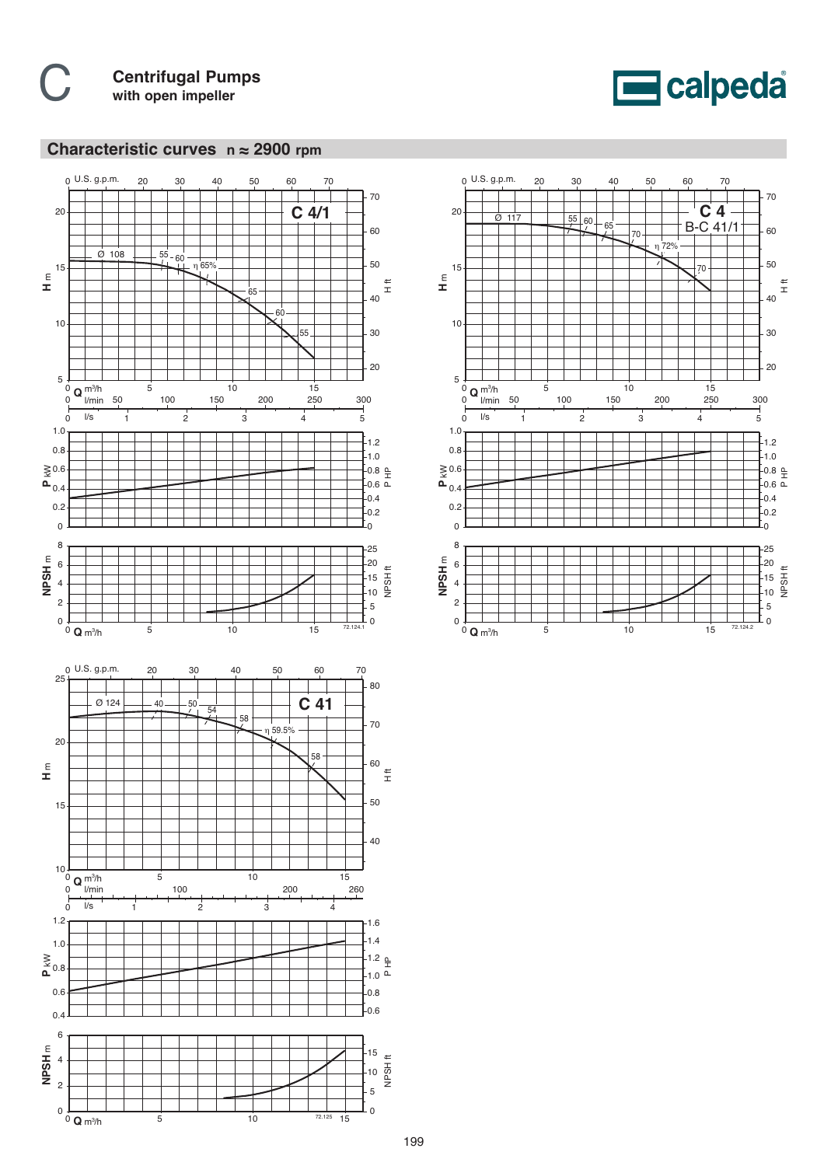

# **Characteristic curves n ≈ 2900 rpm**